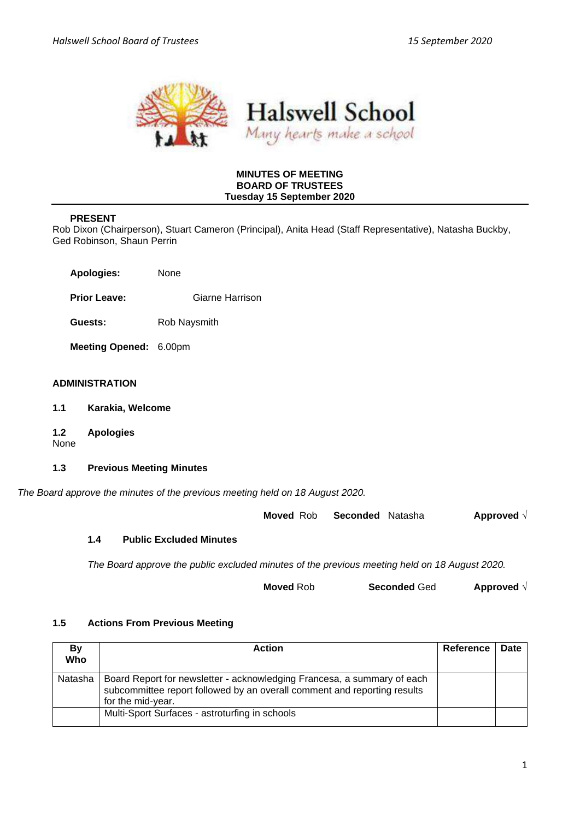



### **MINUTES OF MEETING BOARD OF TRUSTEES Tuesday 15 September 2020**

## **PRESENT**

Rob Dixon (Chairperson), Stuart Cameron (Principal), Anita Head (Staff Representative), Natasha Buckby, Ged Robinson, Shaun Perrin

| <b>Apologies:</b> | None |
|-------------------|------|
|                   |      |

**Prior Leave:** Giarne Harrison

**Guests:** Rob Naysmith

**Meeting Opened:** 6.00pm

#### **ADMINISTRATION**

- **1.1 Karakia, Welcome**
- **1.2 Apologies**

None

## **1.3 Previous Meeting Minutes**

*The Board approve the minutes of the previous meeting held on 18 August 2020.*

**Moved** Rob **Seconded** Natasha **Approved** √

## **1.4 Public Excluded Minutes**

*The Board approve the public excluded minutes of the previous meeting held on 18 August 2020.*

| <b>Moved Rob</b> | <b>Seconded Ged</b> | Approved $\sqrt{ }$ |
|------------------|---------------------|---------------------|
|------------------|---------------------|---------------------|

## **1.5 Actions From Previous Meeting**

| Bv<br>Who | <b>Action</b>                                                                                                                                                            | <b>Reference</b> | Date |
|-----------|--------------------------------------------------------------------------------------------------------------------------------------------------------------------------|------------------|------|
| Natasha   | Board Report for newsletter - acknowledging Francesa, a summary of each<br>subcommittee report followed by an overall comment and reporting results<br>for the mid-year. |                  |      |
|           | Multi-Sport Surfaces - astroturfing in schools                                                                                                                           |                  |      |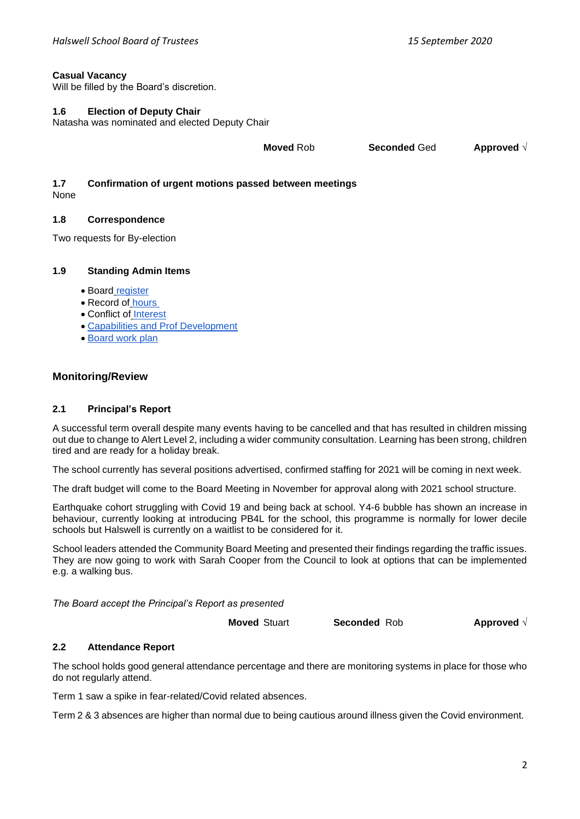## **Casual Vacancy**

Will be filled by the Board's discretion.

### **1.6 Election of Deputy Chair**

Natasha was nominated and elected Deputy Chair

**Moved** Rob **Seconded** Ged **Approved** √

# **1.7 Confirmation of urgent motions passed between meetings**

None

## **1.8 Correspondence**

Two requests for By-election

### **1.9 Standing Admin Items**

- Board [register](https://drive.google.com/open?id=1LgYeP3fbHNJrrdwtKhmni7bUn5KZf6AdawXvp-8GM5I)
- Record of [hours](https://docs.google.com/spreadsheets/d/1ooqHmfuVcjAxJj74l2cyNrLx6E1GWjN2CMAD-VWrSTk/edit#gid=1585903216)
- Conflict of [Interest](https://drive.google.com/open?id=1LpqgUK6iwhrXOSzvrxmLTcgpA-wsuZg7DU-aIw9nGAw)
- [Capabilities and Prof Development](https://drive.google.com/open?id=1Vq0YrIsDwmndZRHvvGvFtK1YOlEWlifxCfIAxHaVDlo)
- [Board work plan](https://docs.google.com/document/d/16WAgjXfZuFQ9Un3Lb7bJ9NQj9tU1J26Koes3jzuU9jQ/edit)

## **Monitoring/Review**

#### **2.1 Principal's Report**

A successful term overall despite many events having to be cancelled and that has resulted in children missing out due to change to Alert Level 2, including a wider community consultation. Learning has been strong, children tired and are ready for a holiday break.

The school currently has several positions advertised, confirmed staffing for 2021 will be coming in next week.

The draft budget will come to the Board Meeting in November for approval along with 2021 school structure.

Earthquake cohort struggling with Covid 19 and being back at school. Y4-6 bubble has shown an increase in behaviour, currently looking at introducing PB4L for the school, this programme is normally for lower decile schools but Halswell is currently on a waitlist to be considered for it.

School leaders attended the Community Board Meeting and presented their findings regarding the traffic issues. They are now going to work with Sarah Cooper from the Council to look at options that can be implemented e.g. a walking bus.

*The Board accept the Principal's Report as presented*

**Moved** Stuart **Seconded** Rob **Approved** √

## **2.2 Attendance Report**

The school holds good general attendance percentage and there are monitoring systems in place for those who do not regularly attend.

Term 1 saw a spike in fear-related/Covid related absences.

Term 2 & 3 absences are higher than normal due to being cautious around illness given the Covid environment.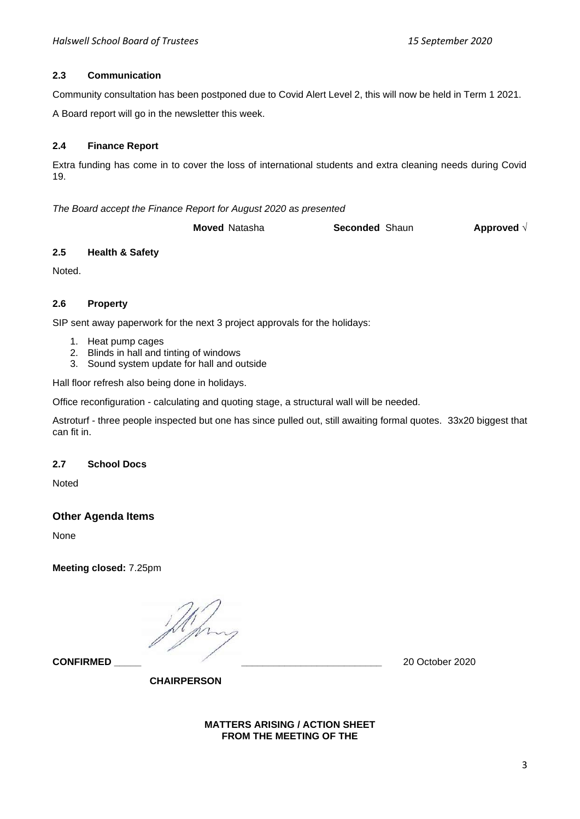## **2.3 Communication**

Community consultation has been postponed due to Covid Alert Level 2, this will now be held in Term 1 2021.

A Board report will go in the newsletter this week.

## **2.4 Finance Report**

Extra funding has come in to cover the loss of international students and extra cleaning needs during Covid 19.

*The Board accept the Finance Report for August 2020 as presented*

**Moved** Natasha **Seconded** Shaun **Approved** √

## **2.5 Health & Safety**

Noted.

## **2.6 Property**

SIP sent away paperwork for the next 3 project approvals for the holidays:

- 1. Heat pump cages
- 2. Blinds in hall and tinting of windows
- 3. Sound system update for hall and outside

Hall floor refresh also being done in holidays.

Office reconfiguration - calculating and quoting stage, a structural wall will be needed.

Astroturf - three people inspected but one has since pulled out, still awaiting formal quotes. 33x20 biggest that can fit in.

## **2.7 School Docs**

Noted

## **Other Agenda Items**

None

**Meeting closed:** 7.25pm

**CONFIRMED \_\_\_\_\_ \_\_\_\_\_\_\_\_\_\_\_\_\_\_\_\_\_\_\_\_\_\_\_\_\_\_** 20 October 2020

**CHAIRPERSON**

#### **MATTERS ARISING / ACTION SHEET FROM THE MEETING OF THE**